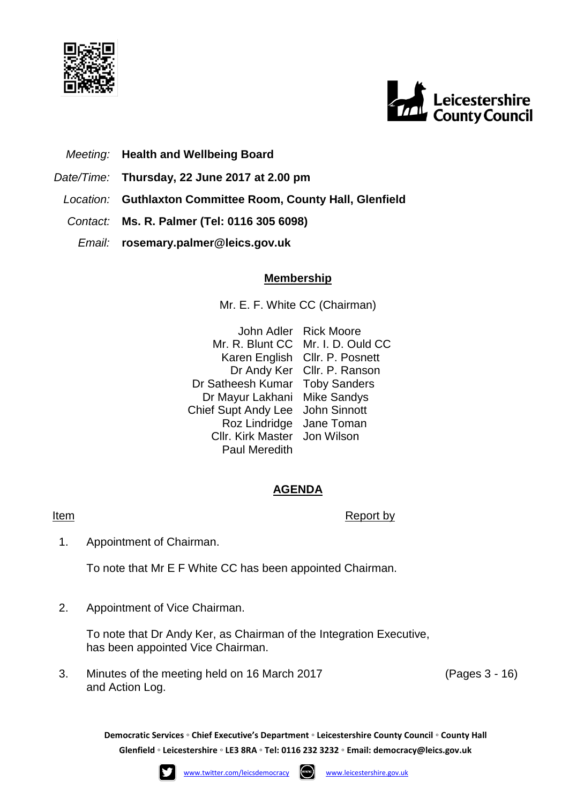



# *Meeting:* **Health and Wellbeing Board**

- *Date/Time:* **Thursday, 22 June 2017 at 2.00 pm**
- *Location:* **Guthlaxton Committee Room, County Hall, Glenfield**
- *Contact:* **Ms. R. Palmer (Tel: 0116 305 6098)**
	- *Email:* **rosemary.palmer@leics.gov.uk**

## **Membership**

Mr. E. F. White CC (Chairman)

John Adler Rick Moore Mr. R. Blunt CC Mr. I. D. Ould CC Karen English Cllr. P. Posnett Dr Andy Ker Cllr. P. Ranson Dr Satheesh Kumar Toby Sanders Dr Mayur Lakhani Mike Sandys Chief Supt Andy Lee John Sinnott Roz Lindridge Jane Toman Cllr. Kirk Master Jon Wilson Paul Meredith

## **AGENDA**

#### **Item** Report by

1. Appointment of Chairman.

To note that Mr E F White CC has been appointed Chairman.

2. Appointment of Vice Chairman.

To note that Dr Andy Ker, as Chairman of the Integration Executive, has been appointed Vice Chairman.

3. Minutes of the meeting held on 16 March 2017 and Action Log.

(Pages 3 - 16)

**Democratic Services ◦ Chief Executive's Department ◦ Leicestershire County Council ◦ County Hall Glenfield ◦ Leicestershire ◦ LE3 8RA ◦ Tel: 0116 232 3232 ◦ Email: [democracy@leics.gov.uk](mailto:democracy@leics.gov.uk)**